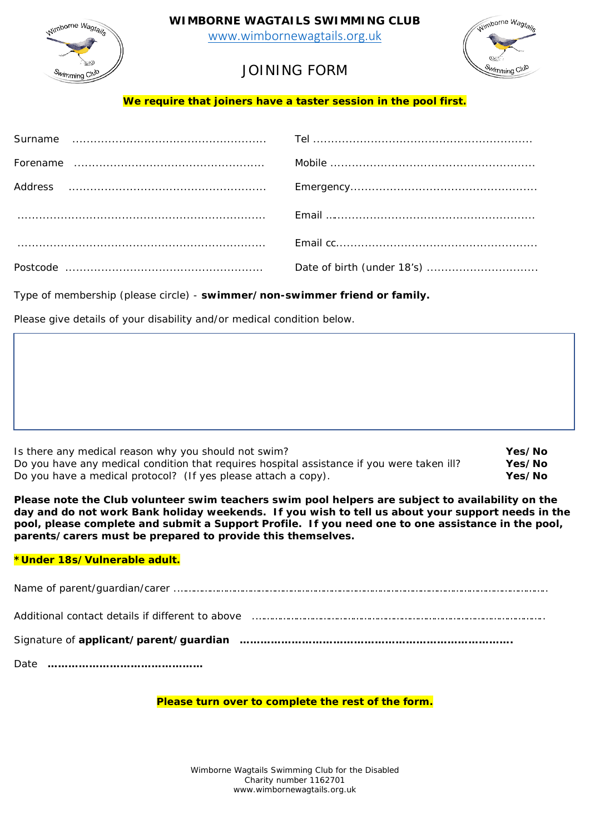



[www.wimbornewagtails.org.uk](http://www.wimbornewagtails.org.uk/) 



# JOINING FORM

**We require that joiners have a taster session in the pool first.** 

Type of membership (please circle) - **swimmer/non-swimmer friend or family.**

Please give details of your disability and/or medical condition below.

| Is there any medical reason why you should not swim?                                       | Yes/No |
|--------------------------------------------------------------------------------------------|--------|
| Do you have any medical condition that requires hospital assistance if you were taken ill? | Yes/No |
| Do you have a medical protocol? (If yes please attach a copy).                             | Yes/No |

**Please note the Club volunteer swim teachers swim pool helpers are subject to availability on the day and do not work Bank holiday weekends. If you wish to tell us about your support needs in the pool, please complete and submit a Support Profile. If you need one to one assistance in the pool, parents/carers must be prepared to provide this themselves.**

# **\*Under 18s/Vulnerable adult.**

| Additional contact details if different to above manufactured and contain an account contact details if different to above manufactured and contact the set of the set of the set of the set of the set of the set of the set |
|-------------------------------------------------------------------------------------------------------------------------------------------------------------------------------------------------------------------------------|
|                                                                                                                                                                                                                               |
|                                                                                                                                                                                                                               |

# **Please turn over to complete the rest of the form.**